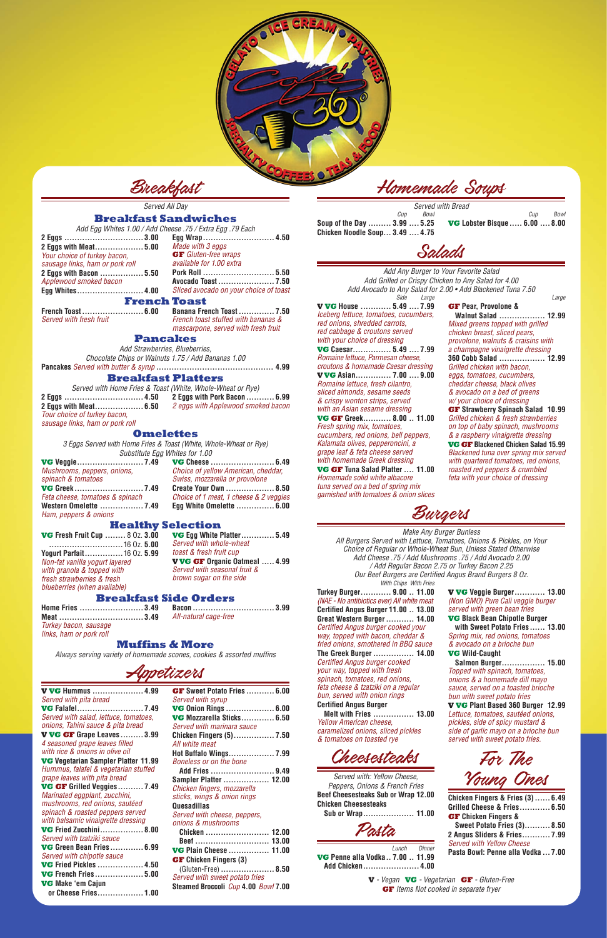

Breakfast

*Served All Day*

### **Breakfast Sandwiches**

*Add Egg Whites 1.00 / Add Cheese .75 / Extra Egg .79 Each*

| Egg Wrap                                                                                               |
|--------------------------------------------------------------------------------------------------------|
| Made with                                                                                              |
| <b>GF</b> Gluten                                                                                       |
| available fo                                                                                           |
| <b>Pork Roll</b>                                                                                       |
| Avocado To                                                                                             |
| Sliced avoc                                                                                            |
| <b>French Toast</b>                                                                                    |
| 2 Eggs with Meat 5.00<br>sausage links, ham or pork roll<br>2 Eggs with Bacon  5.50<br>Egg Whites 4.00 |

**Egg Wrap............................ 4.50**

*Made with 3 eggs* **GF** *Gluten-free wraps available for 1.00 extra*

**Pork Roll ............................ 5.50 Avocado Toast ...................... 7.50** *Sliced avocado on your choice of toast*

**French Toast........................ 6.00** *Served with fresh fruit*

**Banana French Toast .............. 7.50** *French toast stuffed with bananas & mascarpone, served with fresh fruit*

**Pancakes**

*Add Strawberries, Blueberries,* 

*Chocolate Chips or Walnuts 1.75 / Add Bananas 1.00* **Pancakes** *Served with butter & syrup* **.............................................. 4.99**

### **Breakfast Platters**

*Served with Home Fries & Toast (White, Whole-Wheat or Rye)*

**2 Eggs ............................... 4.50 2 Eggs with Meat................... 6.50** *Tour choice of turkey bacon, sausage links, ham or pork roll*

**2 Eggs with Pork Bacon ........... 6.99** *2 eggs with Applewood smoked bacon*

**Omelettes**

*3 Eggs Served with Home Fries & Toast (White, Whole-Wheat or Rye) Substitute Egg Whites for 1.00*

**VG Veggie.......................... 7.49** *Mushrooms, peppers, onions, spinach & tomatoes* **VG Greek ........................... 7.49** *Feta cheese, tomatoes & spinach* **Western Omelette ................. 7.49** *Ham, peppers & onions*

**VG Cheese ......................... 6.49** *Choice of yellow American, cheddar, Swiss, mozzarella or provolone* **Create Your Own ................... 8.50** *Choice of 1 meat, 1 cheese & 2 veggies* **Egg White Omelette ............... 6.00**

# **Healthy Selection**

**VG Fresh Fruit Cup ........** 8 Oz. **3.00 .............................**16 Oz. **5.00 Yogurt Parfait...............**16 Oz. **5.99** *Non-fat vanilla yogurt layered with granola & topped with fresh strawberries & fresh blueberries (when available)*

**VG Egg White Platter............. 5.49** *Served with whole-wheat toast & fresh fruit cup* **V VG GF Organic Oatmeal ..... 4.99** *Served with seasonal fruit & brown sugar on the side*

# **Breakfast Side Orders**

**Home Fries ......................... 3.49 Meat ................................. 3.49** *Turkey bacon, sausage links, ham or pork roll*

**Bacon ................................ 3.99** *All-natural cage-free*

### **Muffins & More**

*Always serving variety of homemade scones, cookies & assorted muffins*



**V VG Hummus .................... 4.99** *Served with pita bread* **VG Falafel.......................... 7.49** *Served with salad, lettuce, tomatoes, onions, Tahini sauce & pita bread* **V VG GF Grape Leaves ......... 3.99** *4 seasoned grape leaves filled with rice & onions in olive oil* **VG Vegetarian Sampler Platter 11.99** *Hummus, falafel & vegetarian stuffed grape leaves with pita bread* **VG GF Grilled Veggies.......... 7.49** *Marinated eggplant, zucchini, mushrooms, red onions, sautéed spinach & roasted peppers served with balsamic vinaigrette dressing* **VG Fried Zucchini................. 8.00** *Served with tzatziki sauce* **VG Green Bean Fries ............. 6.99** *Served with chipotle sauce* **VG Fried Pickles .................. 4.50 VG French Fries................... 5.00 VG Make 'em Cajun or Cheese Fries.................. 1.00**

**GF Sweet Potato Fries ........... 6.00** *Served with syrup* **VG Onion Rings ................... 6.00 VG Mozzarella Sticks............. 6.50** *Served with marinara sauce* **Chicken Fingers (5)................ 7.50** *All white meat* **Hot Buffalo Wings.................. 7.99** *Boneless or on the bone* **Add Fries ......................... 9.49 Sampler Platter .................. 12.00** *Chicken fingers, mozzarella sticks, wings & onion rings* **Quesadillas** *Served with cheese, peppers, onions & mushrooms* **Chicken ......................... 12.00 Beef ............................. 13.00 VG Plain Cheese ................ 11.00 GF Chicken Fingers (3)**  (Gluten-Free) **..................... 8.50** *Served with sweet potato fries* **Steamed Broccoli** *Cup* **4.00** *Bowl* **7.00**

Homemade Soups

*Served with Bread Cup Bowl* **Soup of the Day ......... 3.99 .... 5.25**

**Chicken Noodle Soup... 3.49 .... 4.75**

*Cup Bowl* **VG Lobster Bisque..... 6.00 .... 8.00**



*Add Any Burger to Your Favorite Salad Add Grilled or Crispy Chicken to Any Salad for 4.00 Add Avocado to Any Salad for 2.00 • Add Blackened Tuna 7.50 Side Large Large*

**V VG House ............ 5.49 .... 7.99** *Iceberg lettuce, tomatoes, cucumbers, red onions, shredded carrots, red cabbage & croutons served with your choice of dressing* **VG Caesar............... 5.49 .... 7.99** *Romaine lettuce, Parmesan cheese, croutons & homemade Caesar dressing* **V VG Asian.............. 7.00 .... 9.00** *Romaine lettuce, fresh cilantro, sliced almonds, sesame seeds & crispy wonton strips, served with an Asian sesame dressing* **VG GF Greek........... 8.00 .. 11.00** *Fresh spring mix, tomatoes, cucumbers, red onions, bell peppers, Kalamata olives, pepperoncini, a*  **VG GF Tuna Salad Platter .... 11.00**

*grape leaf & feta cheese served with homemade Greek dressing Homemade solid white albacore tuna served on a bed of spring mix* 

*garnished with tomatoes & onion slices*

**GF Pear, Provolone &** 

**Walnut Salad .................. 12.99**

*Mixed greens topped with grilled chicken breast, sliced pears, provolone, walnuts & craisins with a champagne vinaigrette dressing* **360 Cobb Salad .................. 12.99** *Grilled chicken with bacon, eggs, tomatoes, cucumbers, cheddar cheese, black olives & avocado on a bed of greens w/ your choice of dressing* **GF Strawberry Spinach Salad 10.99** *Grilled chicken & fresh strawberries on top of baby spinach, mushrooms & a raspberry vinaigrette dressing* **VG GF Blackened Chicken Salad 15.99** *Blackened tuna over spring mix served with quartered tomatoes, red onions, roasted red peppers & crumbled feta with your choice of dressing*

Burgers

*Make Any Burger Bunless All Burgers Served with Lettuce, Tomatoes, Onions & Pickles, on Your Choice of Regular or Whole-Wheat Bun, Unless Stated Otherwise Add Cheese .75 / Add Mushrooms .75 / Add Avocado 2.00 / Add Regular Bacon 2.75 or Turkey Bacon 2.25 Our Beef Burgers are Certified Angus Brand Burgers 8 Oz. With Chips With Fries* 

**Turkey Burger............ 9.00 .. 11.00** *(NAE - No antibiotics ever) All white meat* **Certified Angus Burger 11.00 .. 13.00 Great Western Burger ........... 14.00** *Certified Angus burger cooked your way, topped with bacon, cheddar & fried onions, smothered in BBQ sauce*

**The Greek Burger ................ 14.00** *Certified Angus burger cooked your way, topped with fresh spinach, tomatoes, red onions, feta cheese & tzatziki on a regular* 

*bun, served with onion rings*

### **Certified Angus Burger**

**Melt with Fries ................ 13.00** *Yellow American cheese, caramelized onions, sliced pickles & tomatoes on toasted rye*

**V VG Veggie Burger............ 13.00** *(Non GMO) Pure Cali veggie burger served with green bean fries* **VG Black Bean Chipotle Burger** 

**with Sweet Potato Fries ...... 13.00** *Spring mix, red onions, tomatoes & avocado on a brioche bun* **VG Wild-Caught** 

**Salmon Burger................. 15.00** *Topped with spinach, tomatoes, onions & a homemade dill mayo* 

*sauce, served on a toasted brioche bun with sweet potato fries*

**V VG Plant Based 360 Burger 12.99** *Lettuce, tomatoes, sautéed onions, pickles, side of spicy mustard & side of garlic mayo on a brioche bun served with sweet potato fries.*



*Served with: Yellow Cheese, Peppers, Onions & French Fries* **Beef Cheesesteaks Sub or Wrap 12.00 Chicken Cheesesteaks** 

**Sub or Wrap.................... 11.00**



*Lunch Dinner* **VG Penne alla Vodka.. 7.00 .. 11.99 Add Chicken...................... 4.00**





| Chicken Fingers & Fries (3)  6.49  |  |
|------------------------------------|--|
| Grilled Cheese & Fries 6.50        |  |
| <b>GF</b> Chicken Fingers &        |  |
| <b>Sweet Potato Fries (3) 8.50</b> |  |
| 2 Angus Sliders & Fries 7.99       |  |
| <b>Served with Yellow Cheese</b>   |  |
| Pasta Bowl: Penne alla Vodka  7.00 |  |
|                                    |  |

**V** *- Vegan* **VG** *- Vegetarian* **GF** *- Gluten-Free* **GF** *Items Not cooked in separate fryer*